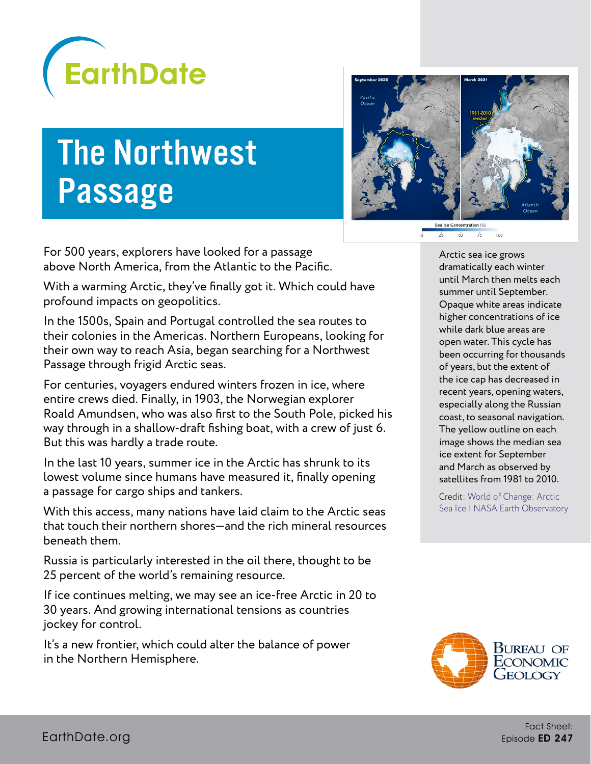

## The Northwest Passage



For 500 years, explorers have looked for a passage above North America, from the Atlantic to the Pacific.

With a warming Arctic, they've finally got it. Which could have profound impacts on geopolitics.

In the 1500s, Spain and Portugal controlled the sea routes to their colonies in the Americas. Northern Europeans, looking for their own way to reach Asia, began searching for a Northwest Passage through frigid Arctic seas.

For centuries, voyagers endured winters frozen in ice, where entire crews died. Finally, in 1903, the Norwegian explorer Roald Amundsen, who was also first to the South Pole, picked his way through in a shallow-draft fishing boat, with a crew of just 6. But this was hardly a trade route.

In the last 10 years, summer ice in the Arctic has shrunk to its lowest volume since humans have measured it, finally opening a passage for cargo ships and tankers.

With this access, many nations have laid claim to the Arctic seas that touch their northern shores—and the rich mineral resources beneath them.

Russia is particularly interested in the oil there, thought to be 25 percent of the world's remaining resource.

If ice continues melting, we may see an ice-free Arctic in 20 to 30 years. And growing international tensions as countries jockey for control.

It's a new frontier, which could alter the balance of power in the Northern Hemisphere.

Arctic sea ice grows dramatically each winter until March then melts each summer until September. Opaque white areas indicate higher concentrations of ice while dark blue areas are open water. This cycle has been occurring for thousands of years, but the extent of the ice cap has decreased in recent years, opening waters, especially along the Russian coast, to seasonal navigation. The yellow outline on each image shows the median sea ice extent for September and March as observed by satellites from 1981 to 2010.

Credit: [World of Change: Arctic](https://earthobservatory.nasa.gov/world-of-change/sea-ice-arctic)  [Sea Ice | NASA Earth Observatory](https://earthobservatory.nasa.gov/world-of-change/sea-ice-arctic)

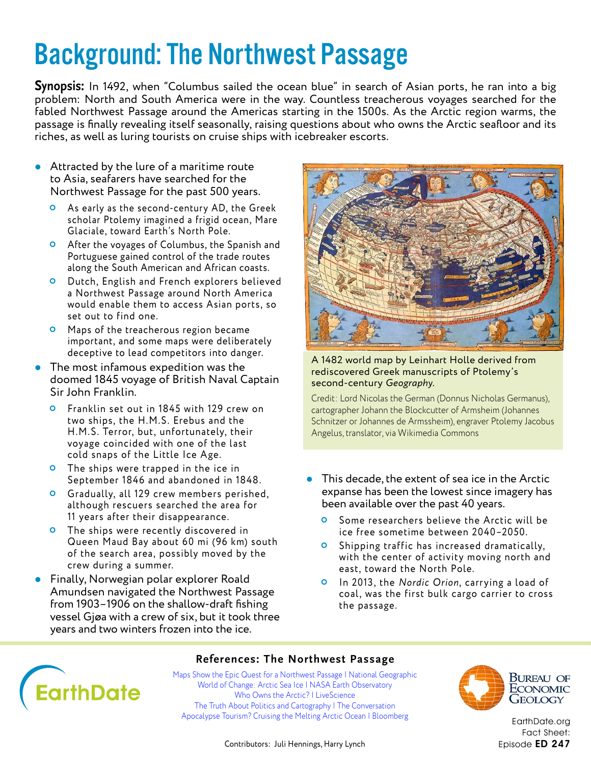## Background: The Northwest Passage

**Synopsis:** In 1492, when "Columbus sailed the ocean blue" in search of Asian ports, he ran into a big problem: North and South America were in the way. Countless treacherous voyages searched for the fabled Northwest Passage around the Americas starting in the 1500s. As the Arctic region warms, the passage is finally revealing itself seasonally, raising questions about who owns the Arctic seafloor and its riches, as well as luring tourists on cruise ships with icebreaker escorts.

- Attracted by the lure of a maritime route to Asia, seafarers have searched for the Northwest Passage for the past 500 years.
	- As early as the second-century AD, the Greek scholar Ptolemy imagined a frigid ocean, Mare Glaciale, toward Earth's North Pole.
	- After the voyages of Columbus, the Spanish and Portuguese gained control of the trade routes along the South American and African coasts.
	- Dutch, English and French explorers believed a Northwest Passage around North America would enable them to access Asian ports, so set out to find one.
	- **O** Maps of the treacherous region became important, and some maps were deliberately deceptive to lead competitors into danger.
- The most infamous expedition was the doomed 1845 voyage of British Naval Captain Sir John Franklin.
	- **O** Franklin set out in 1845 with 129 crew on two ships, the H.M.S. Erebus and the H.M.S. Terror, but, unfortunately, their voyage coincided with one of the last cold snaps of the Little Ice Age.
	- **O** The ships were trapped in the ice in September 1846 and abandoned in 1848.
	- Gradually, all 129 crew members perished, although rescuers searched the area for 11 years after their disappearance.
	- **O** The ships were recently discovered in Queen Maud Bay about 60 mi (96 km) south of the search area, possibly moved by the crew during a summer.
- Finally, Norwegian polar explorer Roald Amundsen navigated the Northwest Passage from 1903–1906 on the shallow-draft fishing vessel Gjøa with a crew of six, but it took three years and two winters frozen into the ice.



A 1482 world map by Leinhart Holle derived from rediscovered Greek manuscripts of Ptolemy's second-century *Geography*.

Credit: Lord Nicolas the German (Donnus Nicholas Germanus), cartographer Johann the Blockcutter of Armsheim (Johannes Schnitzer or Johannes de Armssheim), engraver Ptolemy Jacobus Angelus, translator, via Wikimedia Commons

- This decade, the extent of sea ice in the Arctic expanse has been the lowest since imagery has been available over the past 40 years.
	- **O** Some researchers believe the Arctic will be ice free sometime between 2040–2050.
	- **O** Shipping traffic has increased dramatically, with the center of activity moving north and east, toward the North Pole.
	- **O** In 2013, the *Nordic Orion*, carrying a load of coal, was the first bulk cargo carrier to cross the passage.



#### **References: The Northwest Passage**

[Maps Show the Epic Quest for a Northwest Passage | National Geographic](https://www.nationalgeographic.com/culture/article/northwest-passage-map-history?loggedin=true) [World of Change: Arctic Sea Ice | NASA Earth Observatory](https://earthobservatory.nasa.gov/world-of-change/sea-ice-arctic) [Who Owns the Arctic? | LiveScience](https://www.livescience.com/who-owns-the-arctic.html) [The Truth About Politics and Cartography | The Conversation](https://theconversation.com/the-truth-about-politics-and-cartography-mapping-claims-to-the-arctic-seabed-46043) [Apocalypse Tourism? Cruising the Melting Arctic Ocean | Bloomberg](https://www.bloomberg.com/features/2016-crystal-serenity-northwest-passage-cruise/)



Bureau of **ECONOMIC** Geology

[EarthDate.org](http://www.earthdate.org) Fact Sheet: Episode ED 247

Contributors: Juli Hennings, Harry Lynch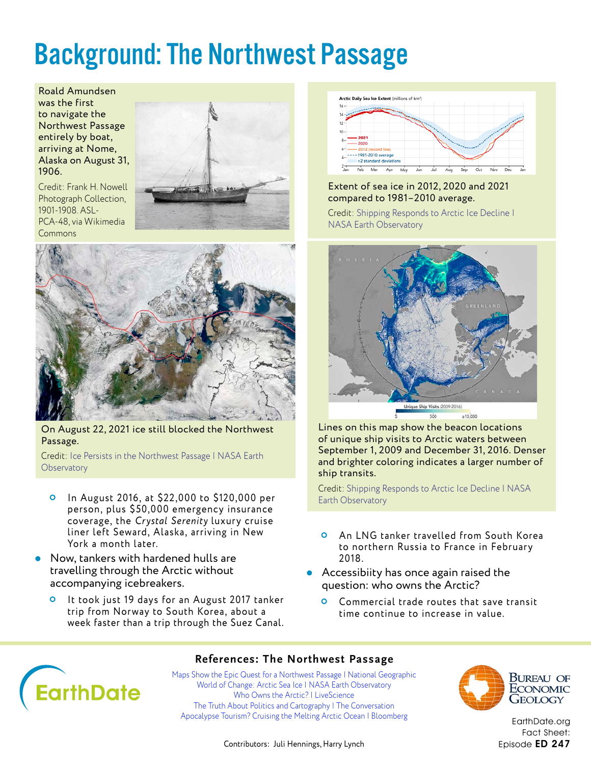## Background: The Northwest Passage

Roald Amundsen was the first to navigate the Northwest Passage entirely by boat, arriving at Nome, Alaska on August 31, 1906.

Credit: Frank H. Nowell Photograph Collection, 1901-1908. ASL-PCA-48, via Wikimedia Commons





On August 22, 2021 ice still blocked the Northwest Passage.

Credit: [Ice Persists in the Northwest Passage | NASA Earth](https://earthobservatory.nasa.gov/images/148802/ice-persists-in-the-northwest-passage?src=eoa-iotd)  **[Observatory](https://earthobservatory.nasa.gov/images/148802/ice-persists-in-the-northwest-passage?src=eoa-iotd)** 

- In August 2016, at \$22,000 to \$120,000 per person, plus \$50,000 emergency insurance coverage, the Crystal Serenity luxury cruise liner left Seward, Alaska, arriving in New York a month later.
- Now, tankers with hardened hulls are travelling through the Arctic without accompanying icebreakers.
	- It took just 19 days for an August 2017 tanker trip from Norway to South Korea, about a week faster than a trip through the Suez Canal.



#### Extent of sea ice in 2012, 2020 and 2021 compared to 1981–2010 average.

Credit: [Shipping Responds to Arctic Ice Decline |](https://earthobservatory.nasa.gov/images/91981/shipping-responds-to-arctic-ice-decline%22)  [NASA Earth Observatory](https://earthobservatory.nasa.gov/images/91981/shipping-responds-to-arctic-ice-decline%22)



Lines on this map show the beacon locations of unique ship visits to Arctic waters between September 1, 2009 and December 31, 2016. Denser and brighter coloring indicates a larger number of ship transits.

Credit: [Shipping Responds to Arctic Ice Decline | NASA](https://earthobservatory.nasa.gov/images/91981/shipping-responds-to-arctic-ice-decline%22)  [Earth Observatory](https://earthobservatory.nasa.gov/images/91981/shipping-responds-to-arctic-ice-decline%22)

- An LNG tanker travelled from South Korea to northern Russia to France in February 2018.
- Accessibiity has once again raised the question: who owns the Arctic?
	- **O** Commercial trade routes that save transit time continue to increase in value.

# **EarthDate**

#### **References: The Northwest Passage**

[Maps Show the Epic Quest for a Northwest Passage | National Geographic](https://www.nationalgeographic.com/culture/article/northwest-passage-map-history?loggedin=true) [World of Change: Arctic Sea Ice | NASA Earth Observatory](https://earthobservatory.nasa.gov/world-of-change/sea-ice-arctic) [Who Owns the Arctic? | LiveScience](https://www.livescience.com/who-owns-the-arctic.html) [The Truth About Politics and Cartography | The Conversation](https://theconversation.com/the-truth-about-politics-and-cartography-mapping-claims-to-the-arctic-seabed-46043) [Apocalypse Tourism? Cruising the Melting Arctic Ocean | Bloomberg](https://www.bloomberg.com/features/2016-crystal-serenity-northwest-passage-cruise/)



Bureau of **ECONOMIC** Geology

[EarthDate.org](http://www.earthdate.org) Fact Sheet: Episode ED 247

Contributors: Juli Hennings, Harry Lynch